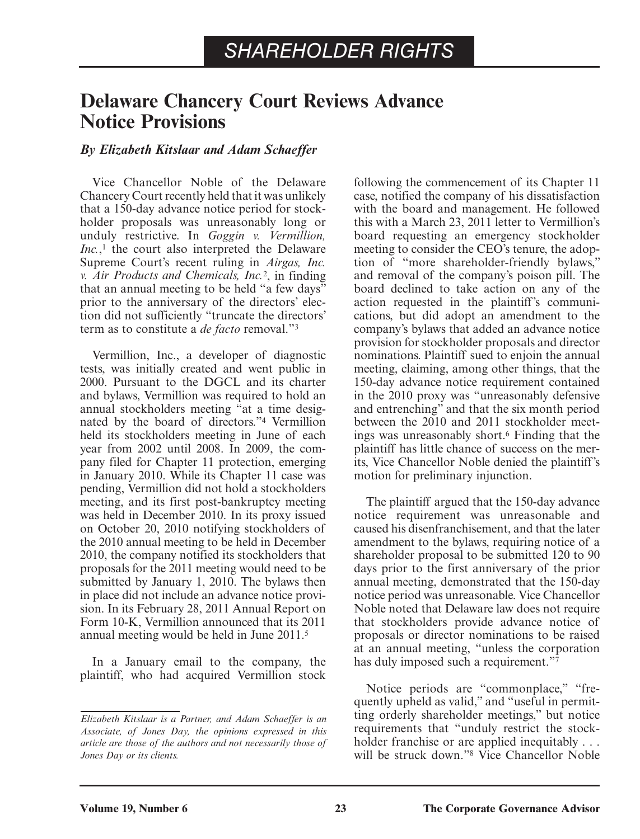## **Delaware Chancery Court Reviews Advance Notice Provisions**

## *By Elizabeth Kitslaar and Adam Schaeffer*

 Vice Chancellor Noble of the Delaware Chancery Court recently held that it was unlikely that a 150-day advance notice period for stockholder proposals was unreasonably long or unduly restrictive. In *Goggin v. Vermillion, Inc.*,<sup>1</sup> the court also interpreted the Delaware Supreme Court's recent ruling in *Airgas, Inc. v. Air Products and Chemicals, Inc.*2 , in finding that an annual meeting to be held "a few days" prior to the anniversary of the directors' election did not sufficiently "truncate the directors' term as to constitute a *de facto* removal."<sup>3</sup>

 Vermillion, Inc., a developer of diagnostic tests, was initially created and went public in 2000. Pursuant to the DGCL and its charter and bylaws, Vermillion was required to hold an annual stockholders meeting "at a time designated by the board of directors."<sup>4</sup> Vermillion held its stockholders meeting in June of each year from 2002 until 2008. In 2009, the company filed for Chapter 11 protection, emerging in January 2010. While its Chapter 11 case was pending, Vermillion did not hold a stockholders meeting, and its first post-bankruptcy meeting was held in December 2010. In its proxy issued on October 20, 2010 notifying stockholders of the 2010 annual meeting to be held in December 2010, the company notified its stockholders that proposals for the 2011 meeting would need to be submitted by January 1, 2010. The bylaws then in place did not include an advance notice provision. In its February 28, 2011 Annual Report on Form 10-K, Vermillion announced that its 2011 annual meeting would be held in June 2011. 5

 In a January email to the company, the plaintiff, who had acquired Vermillion stock following the commencement of its Chapter 11 case, notified the company of his dissatisfaction with the board and management. He followed this with a March 23, 2011 letter to Vermillion's board requesting an emergency stockholder meeting to consider the CEO's tenure, the adoption of "more shareholder-friendly bylaws," and removal of the company's poison pill. The board declined to take action on any of the action requested in the plaintiff's communications, but did adopt an amendment to the company's bylaws that added an advance notice provision for stockholder proposals and director nominations. Plaintiff sued to enjoin the annual meeting, claiming, among other things, that the 150-day advance notice requirement contained in the 2010 proxy was "unreasonably defensive and entrenching" and that the six month period between the 2010 and 2011 stockholder meetings was unreasonably short.<sup>6</sup> Finding that the plaintiff has little chance of success on the merits, Vice Chancellor Noble denied the plaintiff's motion for preliminary injunction.

 The plaintiff argued that the 150-day advance notice requirement was unreasonable and caused his disenfranchisement, and that the later amendment to the bylaws, requiring notice of a shareholder proposal to be submitted 120 to 90 days prior to the first anniversary of the prior annual meeting, demonstrated that the 150-day notice period was unreasonable. Vice Chancellor Noble noted that Delaware law does not require that stockholders provide advance notice of proposals or director nominations to be raised at an annual meeting, "unless the corporation has duly imposed such a requirement."7

 Notice periods are "commonplace," "frequently upheld as valid," and "useful in permitting orderly shareholder meetings," but notice requirements that "unduly restrict the stockholder franchise or are applied inequitably . . . will be struck down."<sup>8</sup> Vice Chancellor Noble

*Elizabeth Kitslaar is a Partner, and Adam Schaeffer is an Associate, of Jones Day, the opinions expressed in this article are those of the authors and not necessarily those of Jones Day or its clients.*